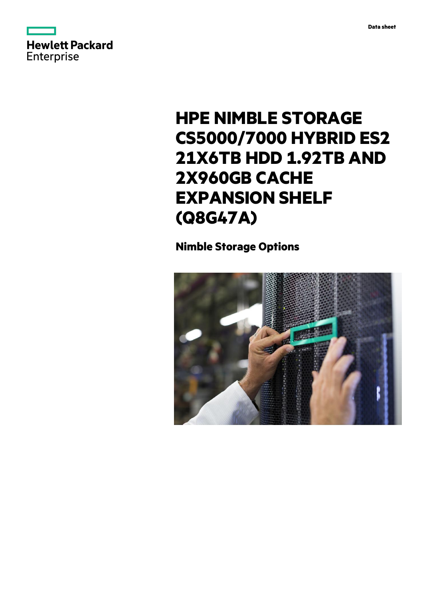



# **HPE NIMBLE STORAGE CS5000/7000 HYBRID ES2 21X6TB HDD 1.92TB AND 2X960GB CACHE EXPANSION SHELF (Q8G47A)**

**Nimble Storage Options**